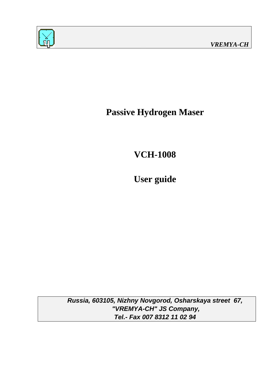

**Passive Hydrogen Maser** 

**VCH-1008** 

**User guide**

**Russia, 603105, Nizhny Novgorod, Osharskaya street 67, "VREMYA-CH" JS Company, Tel.- Fax 007 8312 11 02 94**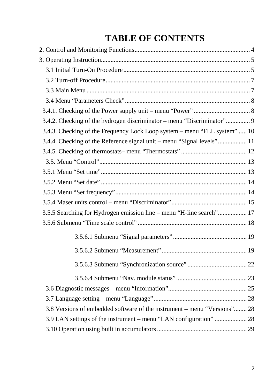# **TABLE OF CONTENTS**

| 3.4.3. Checking of the Frequency Lock Loop system – menu "FLL system"  10 |  |
|---------------------------------------------------------------------------|--|
| 3.4.4. Checking of the Reference signal unit – menu "Signal levels" 11    |  |
|                                                                           |  |
|                                                                           |  |
|                                                                           |  |
|                                                                           |  |
|                                                                           |  |
|                                                                           |  |
| 3.5.5 Searching for Hydrogen emission line - menu "H-line search" 17      |  |
|                                                                           |  |
|                                                                           |  |
|                                                                           |  |
|                                                                           |  |
|                                                                           |  |
|                                                                           |  |
|                                                                           |  |
| 3.8 Versions of embedded software of the instrument – menu "Versions" 28  |  |
|                                                                           |  |
|                                                                           |  |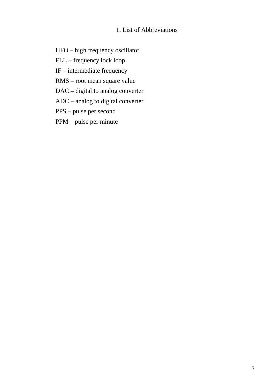# 1. List of Abbreviations

- HFO high frequency oscillator
- FLL frequency lock loop
- IF intermediate frequency
- RMS root mean square value
- DAC digital to analog converter
- ADC analog to digital converter
- PPS pulse per second
- PPM pulse per minute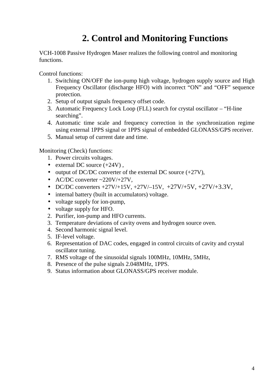# **2. Control and Monitoring Functions**

VCH-1008 Passive Hydrogen Maser realizes the following control and monitoring functions.

Control functions:

- 1. Switching ON/OFF the ion-pump high voltage, hydrogen supply source and High Frequency Oscillator (discharge HFO) with incorrect "ON" and "OFF" sequence protection.
- 2. Setup of output signals frequency offset code.
- 3. Automatic Frequency Lock Loop (FLL) search for crystal oscillator "H-line searching".
- 4. Automatic time scale and frequency correction in the synchronization regime using external 1PPS signal or 1PPS signal of embedded GLONASS/GPS receiver.
- 5. Manual setup of current date and time.

Monitoring (Check) functions:

- 1. Power circuits voltages.
- external DC source  $(+24V)$ .
- output of DC/DC converter of the external DC source  $(+27V)$ ,
- AC/DC converter  $\sim$ 220V/+27V,
- DC/DC converters  $+27V/+15V$ ,  $+27V/-15V$ ,  $+27V/+5V$ ,  $+27V/+3.3V$ ,
- internal battery (built in accumulators) voltage.
- voltage supply for ion-pump,
- voltage supply for HFO.
- 2. Purifier, ion-pump and HFO currents.
- 3. Temperature deviations of cavity ovens and hydrogen source oven.
- 4. Second harmonic signal level.
- 5. IF-level voltage.
- 6. Representation of DAC codes, engaged in control circuits of cavity and crystal oscillator tuning.
- 7. RMS voltage of the sinusoidal signals 100MHz, 10MHz, 5MHz,
- 8. Presence of the pulse signals 2.048MHz, 1PPS.
- 9. Status information about GLONASS/GPS receiver module.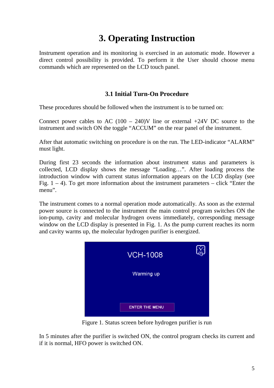# **3. Operating Instruction**

Instrument operation and its monitoring is exercised in an automatic mode. However a direct control possibility is provided. To perform it the User should choose menu commands which are represented on the LCD touch panel.

# **3.1 Initial Turn-On Procedure**

These procedures should be followed when the instrument is to be turned on:

Connect power cables to AC  $(100 - 240)$ V line or external +24V DC source to the instrument and switch ON the toggle "ACCUM" on the rear panel of the instrument.

After that automatic switching on procedure is on the run. The LED-indicator "ALARM" must light.

During first 23 seconds the information about instrument status and parameters is collected, LCD display shows the message "Loading…". After loading process the introduction window with current status information appears on the LCD display (see Fig.  $1 - 4$ ). To get more information about the instrument parameters – click "Enter the menu".

The instrument comes to a normal operation mode automatically. As soon as the external power source is connected to the instrument the main control program switches ON the ion-pump, cavity and molecular hydrogen ovens immediately, corresponding message window on the LCD display is presented in Fig. 1. As the pump current reaches its norm and cavity warms up, the molecular hydrogen purifier is energized.



Figure 1. Status screen before hydrogen purifier is run

In 5 minutes after the purifier is switched ON, the control program checks its current and if it is normal, HFO power is switched ON.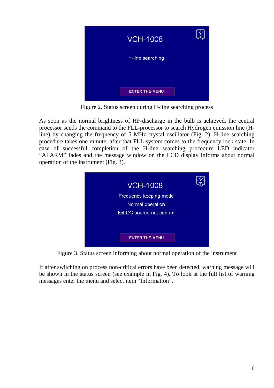

Figure 2. Status screen during H-line searching process

As soon as the normal brightness of HF-discharge in the bulb is achieved, the central processor sends the command to the FLL-processor to search Hydrogen emission line (Hline) by changing the frequency of 5 MHz crystal oscillator (Fig. 2). H-line searching procedure takes one minute, after that FLL system comes to the frequency lock state. In case of successful completion of the H-line searching procedure LED indicator "ALARM" fades and the message window on the LCD display informs about normal operation of the instrument (Fig. 3).



Figure 3. Status screen informing about normal operation of the instrument

If after switching on process non-critical errors have been detected, warning message will be shown in the status screen (see example in Fig. 4). To look at the full list of warning messages enter the menu and select item "Information".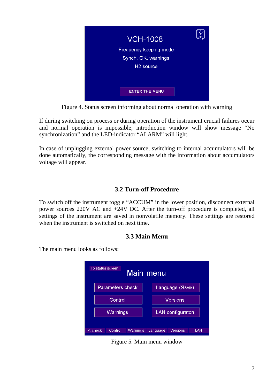

Figure 4. Status screen informing about normal operation with warning

If during switching on process or during operation of the instrument crucial failures occur and normal operation is impossible, introduction window will show message "No synchronization" and the LED-indicator "ALARM" will light.

In case of unplugging external power source, switching to internal accumulators will be done automatically, the corresponding message with the information about accumulators voltage will appear.

## **3.2 Turn-off Procedure**

To switch off the instrument toggle "ACCUM" in the lower position, disconnect external power sources 220V AC and +24V DC. After the turn-off procedure is completed, all settings of the instrument are saved in nonvolatile memory. These settings are restored when the instrument is switched on next time.

#### **3.3 Main Menu**

The main menu looks as follows:

|          | To status screen<br>Main menu                                  |                         |  |                  |  |                 |  |
|----------|----------------------------------------------------------------|-------------------------|--|------------------|--|-----------------|--|
|          |                                                                | <b>Parameters check</b> |  |                  |  | Language (Язык) |  |
|          | Control                                                        |                         |  |                  |  | Versions        |  |
| Warnings |                                                                |                         |  | LAN configuraton |  |                 |  |
|          | P. check<br>Control<br>Versions<br>LAN<br>Warnings<br>Language |                         |  |                  |  |                 |  |

Figure 5. Main menu window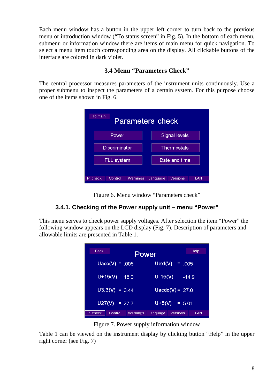Each menu window has a button in the upper left corner to turn back to the previous menu or introduction window ("To status screen" in Fig. 5). In the bottom of each menu, submenu or information window there are items of main menu for quick navigation. To select a menu item touch corresponding area on the display. All clickable buttons of the interface are colored in dark violet.

# **3.4 Menu "Parameters Check"**

The central processor measures parameters of the instrument units continuously. Use a proper submenu to inspect the parameters of a certain system. For this purpose choose one of the items shown in Fig. 6.

| To main<br><b>Parameters check</b> |                                    |  |  |  |
|------------------------------------|------------------------------------|--|--|--|
| Power                              | <b>Signal levels</b>               |  |  |  |
| <b>Discriminator</b>               | <b>Thermostats</b>                 |  |  |  |
| Date and time<br><b>FLL system</b> |                                    |  |  |  |
| Control<br>P. check<br>Warnings    | <b>Versions</b><br>LAN<br>Language |  |  |  |

Figure 6. Menu window "Parameters check"

# **3.4.1. Checking of the Power supply unit – menu "Power"**

This menu serves to check power supply voltages. After selection the item "Power" the following window appears on the LCD display (Fig. 7). Description of parameters and allowable limits are presented in Table 1.

| <b>Back</b> |                     | Help<br>Power               |
|-------------|---------------------|-----------------------------|
|             | $Uacc(V) = .005$    | Uext(V)<br>$= .005$         |
|             | $U+15(V) = 15.0$    | $U-15(V) = -14.9$           |
|             | $U3.3(V) = 3.44$    | Uacdc(V) = $27.0$           |
|             | $U27(V) = 27.7$     | $U+5(V) = 5.01$             |
| P. check    | Control<br>Warnings | Versions<br>LAN<br>Language |

Figure 7. Power supply information window

Table 1 can be viewed on the instrument display by clicking button "Help" in the upper right corner (see Fig. 7)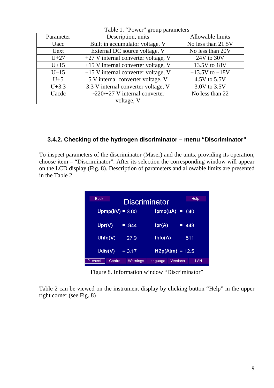| Table 1. FOWER group parameters |                                       |                    |  |  |
|---------------------------------|---------------------------------------|--------------------|--|--|
| Parameter                       | Description, units                    | Allowable limits   |  |  |
| Uacc                            | Built in accumulator voltage, V       | No less than 21.5V |  |  |
| Uext                            | External DC source voltage, V         | No less than 20V   |  |  |
| $U+27$                          | $+27$ V internal converter voltage, V | $24V$ to $30V$     |  |  |
| $U+15$                          | $+15$ V internal converter voltage, V | 13.5V to 18V       |  |  |
| $U-15$                          | $-15$ V internal converter voltage, V | $-13.5V$ to $-18V$ |  |  |
| $U+5$                           | 5 V internal converter voltage, V     | 4.5V to 5.5V       |  |  |
| $U + 3.3$                       | 3.3 V internal converter voltage, V   | 3.0V to 3.5V       |  |  |
| <b>Uacdc</b>                    | $\sim$ 220/+27 V internal converter   | No less than 22    |  |  |
|                                 | voltage, V                            |                    |  |  |

Table 1. "Power" group parameters

#### **3.4.2. Checking of the hydrogen discriminator – menu "Discriminator"**

To inspect parameters of the discriminator (Maser) and the units, providing its operation, choose item – "Discriminator". After its selection the corresponding window will appear on the LCD display (Fig. 8). Description of parameters and allowable limits are presented in the Table 2.

| <b>Back</b><br>Discriminator | Help                 |
|------------------------------|----------------------|
| $Upmp(kV) = 3.60$            | Ipmp(uA)<br>$= .640$ |
| Upr(V)                       | Ipr(A)               |
| $=.944$                      | $=.443$              |
| Uhfo $(V)$                   | Ihto(A)              |
| $= 27.9$                     | $= .511$             |
| $U$ dis $(V)$<br>$= 3.17$    | $H2p(Atm) = 12.5$    |
| P. check                     | Versions             |
| Control                      | LAN                  |
| Warnings                     | Language             |

Figure 8. Information window "Discriminator"

Table 2 can be viewed on the instrument display by clicking button "Help" in the upper right corner (see Fig. 8)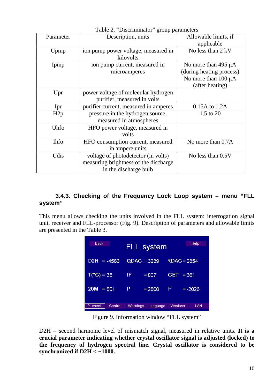| Parameter   | $B$ - $\sim$ $\sim$ $\mu$ $\sim$<br>Description, units | Allowable limits, if     |
|-------------|--------------------------------------------------------|--------------------------|
|             |                                                        | applicable               |
| Upmp        | ion pump power voltage, measured in                    | No less than 2 kV        |
|             | kilovolts                                              |                          |
| Ipmp        | ion pump current, measured in                          | No more than 495 $\mu$ A |
|             | microamperes                                           | (during heating process) |
|             |                                                        | No more than $100 \mu A$ |
|             |                                                        | (after heating)          |
| Upr         | power voltage of molecular hydrogen                    |                          |
|             | purifier, measured in volts                            |                          |
| Ipr         | purifier current, measured in amperes                  | 0.15A to 1.2A            |
| H2p         | pressure in the hydrogen source,                       | 1.5 to 20                |
|             | measured in atmospheres                                |                          |
| Uhfo        | HFO power voltage, measured in                         |                          |
|             | volts                                                  |                          |
| <b>Ihfo</b> | HFO consumption current, measured                      | No more than 0.7A        |
|             | in ampere units                                        |                          |
| Udis        | voltage of photodetector (in volts)                    | No less than 0.5V        |
|             | measuring brightness of the discharge                  |                          |
|             | in the discharge bulb                                  |                          |

Table 2. "Discriminator" group parameters

#### **3.4.3. Checking of the Frequency Lock Loop system – menu "FLL system"**

This menu allows checking the units involved in the FLL system: interrogation signal unit, receiver and FLL-processor (Fig. 9). Description of parameters and allowable limits are presented in the Table 3.

| <b>Back</b>           |               | FLL system |            | Help          |
|-----------------------|---------------|------------|------------|---------------|
| D2H<br>$= -4583$      | $QDAC = 3239$ |            |            | $RDAC = 2854$ |
| $T(^{\circ}C) = 35$   | IF            | $= 807$    | <b>GET</b> | $= 361$       |
| <b>20M</b><br>$= 801$ | Р             | $= 2800$   | F          | $= -2026$     |
| P. check<br>Control   | Warnings      | Language   | Versions   | LAN           |

Figure 9. Information window "FLL system"

D2H – second harmonic level of mismatch signal, measured in relative units. **It is a crucial parameter indicating whether crystal oscillator signal is adjusted (locked) to the frequency of hydrogen spectral line. Crystal oscillator is considered to be synchronized if D2H < −1000.**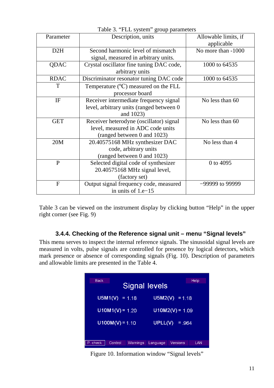| Parameter    | Description, units                                                                                          | Allowable limits, if<br>applicable |
|--------------|-------------------------------------------------------------------------------------------------------------|------------------------------------|
| D2H          | Second harmonic level of mismatch<br>signal, measured in arbitrary units.                                   | No more than -1000                 |
| QDAC         | Crystal oscillator fine tuning DAC code,<br>arbitrary units                                                 | 1000 to 64535                      |
| <b>RDAC</b>  | Discriminator resonator tuning DAC code                                                                     | 1000 to 64535                      |
| T            | Temperature $(^{\circ}C)$ measured on the FLL<br>processor board                                            |                                    |
| IF           | Receiver intermediate frequency signal<br>level, arbitrary units (ranged between 0)<br>and 1023)            | No less than 60                    |
| <b>GET</b>   | Receiver heterodyne (oscillator) signal<br>level, measured in ADC code units<br>(ranged between 0 and 1023) | No less than 60                    |
| 20M          | 20.40575168 MHz synthesizer DAC<br>code, arbitrary units<br>(ranged between 0 and 1023)                     | No less than 4                     |
| P            | Selected digital code of synthesizer<br>20.40575168 MHz signal level,<br>(factory set)                      | 0 to 4095                          |
| $\mathbf{F}$ | Output signal frequency code, measured<br>in units of $1.e-15$                                              | -99999 to 99999                    |

Table 3. "FLL system" group parameters

Table 3 can be viewed on the instrument display by clicking button "Help" in the upper right corner (see Fig. 9)

#### **3.4.4. Checking of the Reference signal unit – menu "Signal levels"**

This menu serves to inspect the internal reference signals. The sinusoidal signal levels are measured in volts, pulse signals are controlled for presence by logical detectors, which mark presence or absence of corresponding signals (Fig. 10). Description of parameters and allowable limits are presented in the Table 4.



Figure 10. Information window "Signal levels"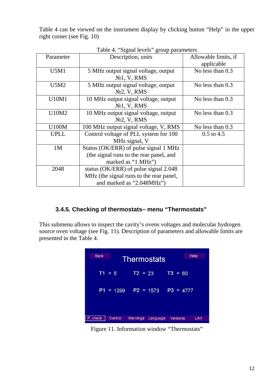Table 4 can be viewed on the instrument display by clicking button "Help" in the upper right corner (see Fig. 10)

| Parameter      | Description, units                                                                                            | Allowable limits, if<br>applicable |
|----------------|---------------------------------------------------------------------------------------------------------------|------------------------------------|
| U5M1           | 5 MHz output signal voltage, output<br>N <sub>2</sub> 1, V, RMS                                               | No less than $0.3$                 |
| U5M2           | 5 MHz output signal voltage, output<br>$N02$ , V, RMS                                                         | No less than $0.3$                 |
| U10M1          | 10 MHz output signal voltage, output<br>N <sub>2</sub> 1, V, RMS                                              | No less than 0.3                   |
| U10M2          | 10 MHz output signal voltage, output<br>$N2$ , V, RMS                                                         | No less than 0.3                   |
| U100M          | 100 MHz output signal voltage, V, RMS                                                                         | No less than 0.3                   |
| <b>UPLL</b>    | Control voltage of PLL system for 100<br>MHz signal, V                                                        | $0.5$ to 4.5                       |
| 1 <sub>M</sub> | Status (OK/ERR) of pulse signal 1 MHz<br>(the signal runs to the rear panel, and<br>marked as "1 MHz")        |                                    |
| 2048           | status (OK/ERR) of pulse signal 2.048<br>MHz (the signal runs to the rear panel,<br>and marked as "2.048MHz") |                                    |

Table 4. "Signal levels" group parameters

# **3.4.5. Checking of thermostats– menu "Thermostats"**

This submenu allows to inspect the cavity's ovens voltages and molecular hydrogen source oven voltage (see Fig. 11). Description of parameters and allowable limits are presented in the Table 4.

| <b>Back</b><br><b>Help</b><br><b>Thermostats</b> |             |             |          |                 |     |
|--------------------------------------------------|-------------|-------------|----------|-----------------|-----|
|                                                  | $T1 = 5$    | $T2 = 23$   |          | $TS = 60$       |     |
|                                                  | $P1 = 1299$ | $P2 = 1573$ |          | $P3 = 4777$     |     |
| P. check                                         | Control     | Warnings    | Language | <b>Versions</b> | LAN |

Figure 11. Information window "Thermostats"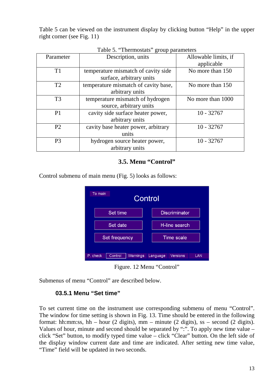Table 5 can be viewed on the instrument display by clicking button "Help" in the upper right corner (see Fig. 11)

| Parameter      | Description, units                   | Allowable limits, if<br>applicable |
|----------------|--------------------------------------|------------------------------------|
| T1             | temperature mismatch of cavity side  | No more than 150                   |
|                | surface, arbitrary units             |                                    |
| T2             | temperature mismatch of cavity base, | No more than 150                   |
|                | arbitrary units                      |                                    |
| T <sub>3</sub> | temperature mismatch of hydrogen     | No more than 1000                  |
|                | source, arbitrary units              |                                    |
| P <sub>1</sub> | cavity side surface heater power,    | $10 - 32767$                       |
|                | arbitrary units                      |                                    |
| P <sub>2</sub> | cavity base heater power, arbitrary  | $10 - 32767$                       |
|                | units                                |                                    |
| P <sub>3</sub> | hydrogen source heater power,        | $10 - 32767$                       |
|                | arbitrary units                      |                                    |

Table 5. "Thermostats" group parameters

#### **3.5. Menu "Control"**

Control submenu of main menu (Fig. 5) looks as follows:

| To main<br>Control |               |          |                 |               |                      |     |
|--------------------|---------------|----------|-----------------|---------------|----------------------|-----|
|                    |               | Set time |                 |               | <b>Discriminator</b> |     |
|                    | Set date      |          |                 | H-line search |                      |     |
|                    | Set frequency |          |                 |               | <b>Time scale</b>    |     |
|                    | P. check      | Control  | <b>Warnings</b> | Language      | Versions             | LAN |

Figure. 12 Menu "Control"

Submenus of menu "Control" are described below.

#### **03.5.1 Menu "Set time"**

To set current time on the instrument use corresponding submenu of menu "Control". The window for time setting is shown in Fig. 13. Time should be entered in the following format: hh:mm:ss, hh – hour (2 digits), mm – minute (2 digits), ss – second (2 digits). Values of hour, minute and second should be separated by ":". To apply new time value – click "Set" button, to modify typed time value – click "Clear" button. On the left side of the display window current date and time are indicated. After setting new time value, "Time" field will be updated in two seconds.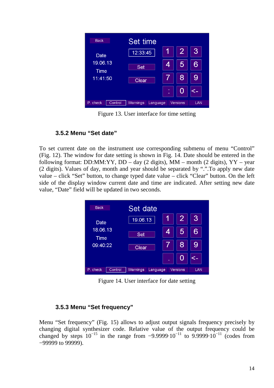

Figure 13. User interface for time setting

# **3.5.2 Menu "Set date"**

To set current date on the instrument use corresponding submenu of menu "Control" (Fig. 12). The window for date setting is shown in Fig. 14. Date should be entered in the following format: DD:MM:YY, DD – day  $(2 \text{ digits})$ , MM – month  $(2 \text{ digits})$ , YY – year (2 digits). Values of day, month and year should be separated by ".".To apply new date value – click "Set" button, to change typed date value – click "Clear" button. On the left side of the display window current date and time are indicated. After setting new date value, "Date" field will be updated in two seconds.

| <b>Back</b>      |         | Set date   |          |   |          |     |  |
|------------------|---------|------------|----------|---|----------|-----|--|
| Date             |         | 19.06.13   |          |   | 2        | 3   |  |
| 18.06.13<br>Time |         | <b>Set</b> |          | 4 | 5        | 6   |  |
| 09:40:22         |         | Clear      |          |   | 8        | 9   |  |
|                  |         |            |          | ٠ | U        |     |  |
| P. check         | Control | Warnings   | Language |   | Versions | LAN |  |

Figure 14. User interface for date setting

#### **3.5.3 Menu "Set frequency"**

Menu "Set frequency" (Fig. 15) allows to adjust output signals frequency precisely by changing digital synthesizer code. Relative value of the output frequency could be changed by steps  $10^{-15}$  in the range from  $-9.9999 \cdot 10^{-11}$  to 9.9999 $\cdot 10^{-11}$  (codes from −99999 to 99999).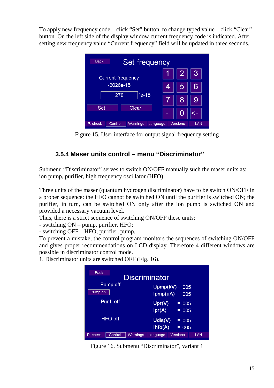To apply new frequency code – click "Set" button, to change typed value – click "Clear" button. On the left side of the display window current frequency code is indicated. After setting new frequency value "Current frequency" field will be updated in three seconds.

| <b>Back</b>                     | Set frequency |   |          |     |
|---------------------------------|---------------|---|----------|-----|
| <b>Current frequency</b>        |               |   | 2        | 3   |
| $-2026e-15$                     |               | 4 |          |     |
| $*e-15$<br>278                  |               |   | 8        |     |
| Set<br>Clear                    |               |   |          |     |
| P. check<br>Warnings<br>Control | Language      |   | Versions | LAN |

Figure 15. User interface for output signal frequency setting

# **3.5.4 Maser units control – menu "Discriminator"**

Submenu "Discriminator" serves to switch ON/OFF manually such the maser units as: ion pump, purifier, high frequency oscillator (HFO).

Three units of the maser (quantum hydrogen discriminator) have to be switch ON/OFF in a proper sequence: the HFO cannot be switched ON until the purifier is switched ON; the purifier, in turn, can be switched ON only after the ion pump is switched ON and provided a necessary vacuum level.

Thus, there is a strict sequence of switching ON/OFF these units:

- switching ON – pump, purifier, HFO;

- switching OFF – HFO, purifier, pump.

To prevent a mistake, the control program monitors the sequences of switching ON/OFF and gives proper recommendations on LCD display. Therefore 4 different windows are possible in discriminator control mode.

1. Discriminator units are switched OFF (Fig. 16).



Figure 16. Submenu "Discriminator", variant 1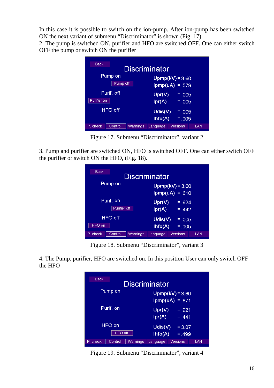In this case it is possible to switch on the ion-pump. After ion-pump has been switched ON the next variant of submenu "Discriminator" is shown (Fig. 17).

2. The pump is switched ON, purifier and HFO are switched OFF. One can either switch OFF the pump or switch ON the purifier

| <b>Back</b> |                     | <b>Discriminator</b>    |                                        |     |
|-------------|---------------------|-------------------------|----------------------------------------|-----|
|             | Pump on<br>Pump off |                         | $Upmp(kV) = 3.60$<br>$lpmp(uA) = .579$ |     |
| Purifier on | Purif. off          | Upr(V)                  | $= .005$                               |     |
|             | HFO off             | Ipr(A)<br>$U$ dis $(V)$ | $= 0.005$<br>$= 0.005$                 |     |
| P. check    | Warnings<br>Control | lhfo(A)<br>Language     | $= 0.005$<br>Versions                  | LAN |

Figure 17. Submenu "Discriminator", variant 2

3. Pump and purifier are switched ON, HFO is switched OFF. One can either switch OFF the purifier or switch ON the HFO, (Fig. 18).

| Back<br>Discriminator           |                                                    |  |  |  |  |
|---------------------------------|----------------------------------------------------|--|--|--|--|
| Pump on                         | $Uppmp(kV) = 3.60$<br>$lpmp(uA) = .610$            |  |  |  |  |
| Purif, on<br>Purifier off       | Upr(V)<br>$= .924$<br>Ipr(A)<br>$= 0.442$          |  |  |  |  |
| HFO off<br>HFO on               | $U$ dis $(V)$<br>$= 0.005$<br>Ihfo(A)<br>$= 0.005$ |  |  |  |  |
| P. check<br>Warnings<br>Control | Versions<br>Language<br>LAN                        |  |  |  |  |

Figure 18. Submenu "Discriminator", variant 3

4. The Pump, purifier, HFO are switched on. In this position User can only switch OFF the HFO

| <b>Back</b>                            | Discriminator                                   |
|----------------------------------------|-------------------------------------------------|
| Pump on                                | $Upmp(kV) = 3.60$<br>$lpmp(uA) = .671$          |
| Purif. on                              | Upr(V)<br>$=.921$<br>Ipr(A)<br>$= 441$          |
| HFO on<br><b>HFO off</b>               | $U$ dis $(V)$<br>$= 3.07$<br>Ihfo(A)<br>$=.499$ |
| Control<br><b>Warnings</b><br>P. check | <b>Versions</b><br>LAN<br>Language              |

Figure 19. Submenu "Discriminator", variant 4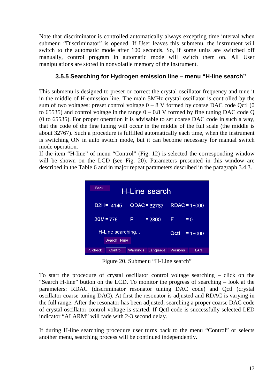Note that discriminator is controlled automatically always excepting time interval when submenu "Discriminator" is opened. If User leaves this submenu, the instrument will switch to the automatic mode after 100 seconds. So, if some units are switched off manually, control program in automatic mode will switch them on. All User manipulations are stored in nonvolatile memory of the instrument.

## **3.5.5 Searching for Hydrogen emission line – menu "H-line search"**

This submenu is designed to preset or correct the crystal oscillator frequency and tune it in the middle of H-emission line. The main 5MHz crystal oscillator is controlled by the sum of two voltages: preset control voltage  $0 - 8$  V formed by coarse DAC code Qctl  $(0)$ to 65535) and control voltage in the range  $0 - 0.8$  V formed by fine tuning DAC code Q (0 to 65535). For proper operation it is advisable to set coarse DAC code in such a way, that the code of the fine tuning will occur in the middle of the full scale (the middle is about 32767). Such a procedure is fulfilled automatically each time, when the instrument is switching ON in auto switch mode, but it can become necessary for manual switch mode operation.

If the item "H-line" of menu "Control" (Fig. 12) is selected the corresponding window will be shown on the LCD (see Fig. 20). Parameters presented in this window are described in the Table 6 and in major repeat parameters described in the paragraph 3.4.3.

| <b>Back</b><br>H-Line search                           |          |                |                |        |  |
|--------------------------------------------------------|----------|----------------|----------------|--------|--|
| $D2H = -4145$                                          |          | $QDAC = 32767$ | $RDAC = 18000$ |        |  |
| $20M = 776$                                            | Р        | $= 2800$       | F              | $= 0.$ |  |
| H-Line searching<br>Octl<br>$= 18000$<br>Search H-line |          |                |                |        |  |
| P. check<br>Control                                    | Warnings | Language       | Versions       | LAN    |  |

Figure 20. Submenu "H-Line search"

To start the procedure of crystal oscillator control voltage searching – click on the "Search H-line" button on the LCD. To monitor the progress of searching – look at the parameters: RDAC (discriminator resonator tuning DAC code) and Qctl (crystal oscillator coarse tuning DAC). At first the resonator is adjusted and RDAC is varying in the full range. After the resonator has been adjusted, searching a proper coarse DAC code of crystal oscillator control voltage is started. If Qctl code is successfully selected LED indicator "ALARM" will fade with 2-3 second delay.

If during H-line searching procedure user turns back to the menu "Control" or selects another menu, searching process will be continued independently.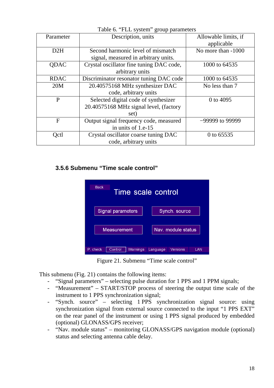|             | $14010$ of $1210$ system group parameters |                      |
|-------------|-------------------------------------------|----------------------|
| Parameter   | Description, units                        | Allowable limits, if |
|             |                                           | applicable           |
| D2H         | Second harmonic level of mismatch         | No more than -1000   |
|             | signal, measured in arbitrary units.      |                      |
| QDAC        | Crystal oscillator fine tuning DAC code,  | 1000 to 64535        |
|             | arbitrary units                           |                      |
| <b>RDAC</b> | Discriminator resonator tuning DAC code   | 1000 to 64535        |
| 20M         | 20.40575168 MHz synthesizer DAC           | No less than 7       |
|             | code, arbitrary units                     |                      |
| P           | Selected digital code of synthesizer      | 0 to 4095            |
|             | 20.40575168 MHz signal level, (factory    |                      |
|             | set)                                      |                      |
| F           | Output signal frequency code, measured    | -99999 to 99999      |
|             | in units of 1.e-15                        |                      |
| Qctl        | Crystal oscillator coarse tuning DAC      | 0 to 65535           |
|             | code, arbitrary units                     |                      |

Table 6. "FLL system" group parameters

## **3.5.6 Submenu "Time scale control"**





This submenu (Fig. 21) contains the following items:

- "Signal parameters" selecting pulse duration for 1 PPS and 1 PPM signals;
- "Measurement" START/STOP process of steering the output time scale of the instrument to 1 PPS synchronization signal;
- "Synch. source" selecting 1 PPS synchronization signal source: using synchronization signal from external source connected to the input "1 PPS EXT" on the rear panel of the instrument or using 1 PPS signal produced by embedded (optional) GLONASS/GPS receiver;
- "Nav. module status" monitoring GLONASS/GPS navigation module (optional) status and selecting antenna cable delay.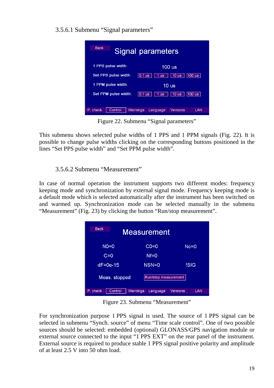3.5.6.1 Submenu "Signal parameters"

| <b>Back</b>                                                                         |                                                                                     |          | Signal parameters |          |     |
|-------------------------------------------------------------------------------------|-------------------------------------------------------------------------------------|----------|-------------------|----------|-----|
| 1 PPS pulse width:                                                                  |                                                                                     |          |                   | 100 us   |     |
| Set PPS pulse width:<br>$100$ us<br>10 <sub>us</sub><br>$0.1$ us<br>1 <sub>us</sub> |                                                                                     |          |                   |          |     |
| 1 PPM pulse width:                                                                  |                                                                                     |          |                   | 10 us    |     |
|                                                                                     | Set PPM pulse width:<br>$100$ us<br>$0.1$ us<br>10 <sub>us</sub><br>1 <sub>us</sub> |          |                   |          |     |
|                                                                                     |                                                                                     |          |                   |          |     |
| P. check                                                                            | Control                                                                             | Warnings | Language          | Versions | LAN |

Figure 22. Submenu "Signal parameters"

This submenu shows selected pulse widths of 1 PPS and 1 PPM signals (Fig. 22). It is possible to change pulse widths clicking on the corresponding buttons positioned in the lines "Set PPS pulse width" and "Set PPM pulse width".

# 3.5.6.2 Submenu "Measurement"

In case of normal operation the instrument supports two different modes: frequency keeping mode and synchronization by external signal mode. Frequency keeping mode is a default mode which is selected automatically after the instrument has been switched on and warmed up. Synchronization mode can be selected manually in the submenu "Measurement" (Fig. 23) by clicking the button "Run/stop measurement".

| <b>Back</b><br>Measurement |                      |                 |  |  |  |
|----------------------------|----------------------|-----------------|--|--|--|
| $NO=0$                     | $CO=0$               | $Nc = 0$        |  |  |  |
| $C=0$                      | $Nf = 0$             |                 |  |  |  |
| $dF = 0e-15$               | $NSN=0$              | !SIG            |  |  |  |
| Meas. stopped              | Run/stop measurement |                 |  |  |  |
| Control<br>P. check        | Warnings<br>Language | Versions<br>LAN |  |  |  |

Figure 23. Submenu "Measurement"

For synchronization purpose 1 PPS signal is used. The source of 1 PPS signal can be selected in submenu "Synch. source" of menu "Time scale control". One of two possible sources should be selected: embedded (optional) GLONASS/GPS navigation module or external source connected to the input "1 PPS EXT" on the rear panel of the instrument. External source is required to produce stable 1 PPS signal positive polarity and amplitude of at least 2.5 V into 50 ohm load.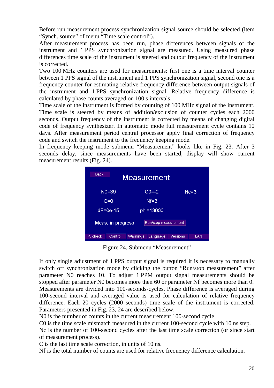Before run measurement process synchronization signal source should be selected (item "Synch. source" of menu "Time scale control").

After measurement process has been run, phase differences between signals of the instrument and 1 PPS synchronization signal are measured. Using measured phase differences time scale of the instrument is steered and output frequency of the instrument is corrected.

Two 100 MHz counters are used for measurements: first one is a time interval counter between 1 PPS signal of the instrument and 1 PPS synchronization signal, second one is a frequency counter for estimating relative frequency difference between output signals of the instrument and 1 PPS synchronization signal. Relative frequency difference is calculated by phase counts averaged on 100 s intervals.

Time scale of the instrument is formed by counting of 100 MHz signal of the instrument. Time scale is steered by means of addition/exclusion of counter cycles each 2000 seconds. Output frequency of the instrument is corrected by means of changing digital code of frequency synthesizer. In automatic mode full measurement cycle contains 10 days. After measurement period central processor apply final correction of frequency code and switch the instrument to the frequency keeping mode.

In frequency keeping mode submenu "Measurement" looks like in Fig. 23. After 3 seconds delay, since measurements have been started, display will show current measurement results (Fig. 24).

| <b>Back</b><br><b>Measurement</b>         |          |           |          |          |  |
|-------------------------------------------|----------|-----------|----------|----------|--|
| $NO = 39$                                 |          | $CO = -2$ |          | $Nc = 3$ |  |
| $C = 0$                                   |          | $Nf = 3$  |          |          |  |
| $dF = 0e-15$                              |          | phi=13000 |          |          |  |
| Meas. in progress<br>Run/stop measurement |          |           |          |          |  |
| Control<br>P. check                       | Warnings | Language  | Versions | LAN      |  |

Figure 24. Submenu "Measurement"

If only single adjustment of 1 PPS output signal is required it is necessary to manually switch off synchronization mode by clicking the button "Run/stop measurement" after parameter N0 reaches 10. To adjust 1 PPM output signal measurements should be stopped after parameter N0 becomes more then 60 or parameter Nf becomes more than 0. Measurements are divided into 100-seconds-cycles. Phase difference is averaged during 100-second interval and averaged value is used for calculation of relative frequency difference. Each 20 cycles (2000 seconds) time scale of the instrument is corrected. Parameters presented in Fig. 23, 24 are described below.

N0 is the number of counts in the current measurement 100-second cycle.

C0 is the time scale mismatch measured in the current 100-second cycle with 10 ns step.

Nc is the number of 100-second cycles after the last time scale correction (or since start of measurement process).

C is the last time scale correction, in units of 10 ns.

Nf is the total number of counts are used for relative frequency difference calculation.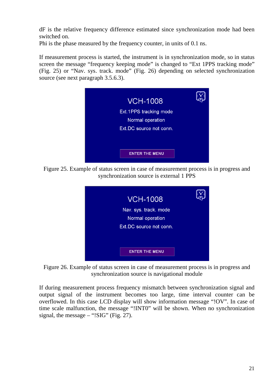dF is the relative frequency difference estimated since synchronization mode had been switched on.

Phi is the phase measured by the frequency counter, in units of 0.1 ns.

If measurement process is started, the instrument is in synchronization mode, so in status screen the message "frequency keeping mode" is changed to "Ext 1PPS tracking mode" (Fig. 25) or "Nav. sys. track. mode" (Fig. 26) depending on selected synchronization source (see next paragraph 3.5.6.3).



Figure 25. Example of status screen in case of measurement process is in progress and synchronization source is external 1 PPS



Figure 26. Example of status screen in case of measurement process is in progress and synchronization source is navigational module

If during measurement process frequency mismatch between synchronization signal and output signal of the instrument becomes too large, time interval counter can be overflowed. In this case LCD display will show information message "!OV". In case of time scale malfunction, the message "!INT0" will be shown. When no synchronization signal, the message  $-$  "!SIG" (Fig. 27).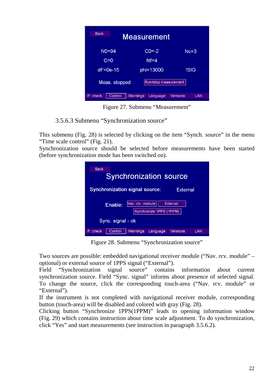| <b>Back</b><br><b>Measurement</b> |                             |                 |  |  |  |
|-----------------------------------|-----------------------------|-----------------|--|--|--|
| $NO=94$                           | $CO = -2$                   | $Nc = 3$        |  |  |  |
| $C=0$                             | $Nf = 4$                    |                 |  |  |  |
| $dF = 0e-15$                      | phi=13000                   | <b>ISIG</b>     |  |  |  |
| Meas. stopped                     | Run/stop measurement        |                 |  |  |  |
| P. check<br>Control               | <b>Warnings</b><br>Language | Versions<br>LAN |  |  |  |

Figure 27. Submenu "Measurement"

3.5.6.3 Submenu "Synchronization source"

This submenu (Fig. 28) is selected by clicking on the item "Synch. source" in the menu "Time scale control" (Fig. 21).

Synchronization source should be selected before measurements have been started (before synchronization mode has been switched on).

| <b>Back</b><br><b>Synchronization source</b>      |         |                  |                         |                 |     |  |  |  |
|---------------------------------------------------|---------|------------------|-------------------------|-----------------|-----|--|--|--|
| <b>Synchronization signal source:</b><br>External |         |                  |                         |                 |     |  |  |  |
|                                                   | Enable: | Nav. rcv. module | Synchronize 1PPS (1PPM) | External        |     |  |  |  |
| Sync. signal - ok                                 |         |                  |                         |                 |     |  |  |  |
| P. check                                          | Control | Warnings         | Language                | <b>Versions</b> | LAN |  |  |  |

Figure 28. Submenu "Synchronization source"

Two sources are possible: embedded navigational receiver module ("Nav. rcv. module" – optional) or external source of 1PPS signal ("External").

Field "Synchronization signal source" contains information about current synchronization source. Field "Sync. signal" informs about presence of selected signal. To change the source, click the corresponding touch-area ("Nav. rcv. module" or "External").

If the instrument is not completed with navigational receiver module, corresponding button (touch-area) will be disabled and colored with gray (Fig. 28).

Clicking button "Synchronize 1PPS(1PPM)" leads to opening information window (Fig. 29) which contains instruction about time scale adjustment. To do synchronization, click "Yes" and start measurements (see instruction in paragraph 3.5.6.2).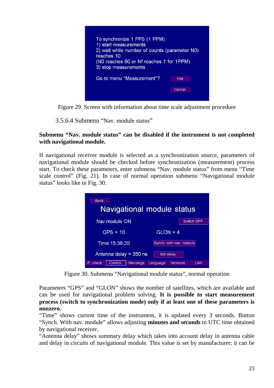| To synchronize 1 PPS (1 PPM):<br>1) start measurements<br>2) wait while number of counts (parameter NO)<br>reaches 10<br>(NO reaches 60 or Nf reaches 1 for 1PPM)<br>3) stop measurements |        |  |  |  |
|-------------------------------------------------------------------------------------------------------------------------------------------------------------------------------------------|--------|--|--|--|
| Go to menu "Measurement"?                                                                                                                                                                 | Yes    |  |  |  |
|                                                                                                                                                                                           | Cancel |  |  |  |

Figure 29. Screen with information about time scale adjustment procedure

3.5.6.4 Submenu "Nav. module status"

#### **Submenu "Nav. module status" can be disabled if the instrument is not completed with navigational module.**

If navigational receiver module is selected as a synchronization source, parameters of navigational module should be checked before synchronization (measurement) process start. To check these parameters, enter submenu "Nav. module status" from menu "Time scale control" (Fig. 21). In case of normal operation submenu "Navigational module status" looks like in Fig. 30.

| <b>Back</b>                                 |                         |  |  |  |  |
|---------------------------------------------|-------------------------|--|--|--|--|
| Navigational module status                  |                         |  |  |  |  |
| Nav.module ON                               | Switch OFF              |  |  |  |  |
| $GPS = 10$                                  | $GLON = 4$              |  |  |  |  |
| Time: 15:38:20                              | Synch. with nav. module |  |  |  |  |
| Antenna delay = $350$ ns<br>Set delay       |                         |  |  |  |  |
| P. check<br>Control<br>Warnings<br>Language | <b>Versions</b><br>LAN  |  |  |  |  |

Figure 30. Submenu "Navigational module status", normal operation

Parameters "GPS" and "GLON" shows the number of satellites, which are available and can be used for navigational problem solving. **It is possible to start measurement process (switch to synchronization mode) only if at least one of these parameters is nonzero.**

"Time" shows current time of the instrument, it is updated every 3 seconds. Button "Synch. With nav. module" allows adjusting **minutes and seconds** to UTC time obtained by navigational receiver.

"Antenna delay" shows summary delay which takes into account delay in antenna cable and delay in circuits of navigational module. This value is set by manufacturer; it can be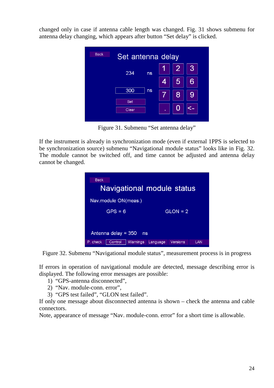changed only in case if antenna cable length was changed. Fig. 31 shows submenu for antenna delay changing, which appears after button "Set delay" is clicked.



Figure 31. Submenu "Set antenna delay"

If the instrument is already in synchronization mode (even if external 1PPS is selected to be synchronization source) submenu "Navigational module status" looks like in Fig. 32. The module cannot be switched off, and time cannot be adjusted and antenna delay cannot be changed.



Figure 32. Submenu "Navigational module status", measurement process is in progress

If errors in operation of navigational module are detected, message describing error is displayed. The following error messages are possible:

- 1) "GPS-antenna disconnected",
- 2) "Nav. module-conn. error",
- 3) "GPS test failed", "GLON test failed".

If only one message about disconnected antenna is shown – check the antenna and cable connectors.

Note, appearance of message "Nav. module-conn. error" for a short time is allowable.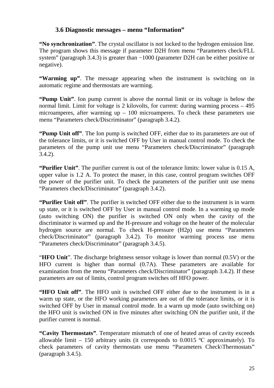#### **3.6 Diagnostic messages – menu "Information"**

**"No synchronization"**. The crystal oscillator is not locked to the hydrogen emission line. The program shows this message if parameter D2H from menu "Parameters check/FLL system" (paragraph 3.4.3) is greater than −1000 (parameter D2H can be either positive or negative).

**"Warming up"**. The message appearing when the instrument is switching on in automatic regime and thermostats are warming.

**"Pump Unit"**. Ion pump current is above the normal limit or its voltage is below the normal limit. Limit for voltage is 2 kilovolts, for current: during warming process – 495 microamperes, after warming  $up - 100$  microamperes. To check these parameters use menu "Parameters check/Discriminator" (paragraph 3.4.2).

**"Pump Unit off"**. The Ion pump is switched OFF, either due to its parameters are out of the tolerance limits, or it is switched OFF by User in manual control mode. To check the parameters of the pump unit use menu "Parameters check/Discriminator" (paragraph 3.4.2).

**"Purifier Unit"**. The purifier current is out of the tolerance limits: lower value is 0.15 A, upper value is 1.2 A. To protect the maser, in this case, control program switches OFF the power of the purifier unit. To check the parameters of the purifier unit use menu "Parameters check/Discriminator" (paragraph 3.4.2).

**"Purifier Unit off"**. The purifier is switched OFF either due to the instrument is in warm up state, or it is switched OFF by User in manual control mode. In a warming up mode (auto switching ON) the purifier is switched ON only when the cavity of the discriminator is warmed up and the H-pressure and voltage on the heater of the molecular hydrogen source are normal. To check H-pressure (H2p) use menu "Parameters check/Discriminator" (paragraph 3.4.2). To monitor warming process use menu "Parameters check/Discriminator" (paragraph 3.4.5).

"**HFO Unit**". The discharge brightness sensor voltage is lower than normal (0.5V) or the HFO current is higher than normal (0.7A). These parameters are available for examination from the menu "Parameters check/Discriminator" (paragraph 3.4.2). If these parameters are out of limits, control program switches off HFO power.

**"HFO Unit off"**. The HFO unit is switched OFF either due to the instrument is in a warm up state, or the HFO working parameters are out of the tolerance limits, or it is switched OFF by User in manual control mode. In a warm up mode (auto switching on) the HFO unit is switched ON in five minutes after switching ON the purifier unit, if the purifier current is normal.

**"Cavity Thermostats"**. Temperature mismatch of one of heated areas of cavity exceeds allowable limit – 150 arbitrary units (it corresponds to  $0.0015$  °C approximately). To check parameters of cavity thermostats use menu "Parameters Check\Thermostats" (paragraph 3.4.5).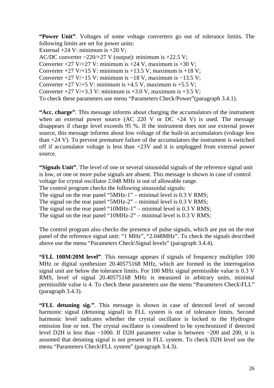**"Power Unit"**. Voltages of some voltage converters go out of tolerance limits. The following limits are set for power units:

External  $+24$  V: minimum is  $+20$  V:

AC/DC converter  $\sim$ 220/+27 V (output): minimum is +22.5 V;

Converter  $+27$  V/ $+27$  V: minimum is  $+24$  V, maximum is  $+30$  V;

Converter  $+27$  V/ $+15$  V: minimum is  $+13.5$  V, maximum is  $+18$  V;

Converter +27 V/−15 V: minimum is -18 V, maximum is -13.5 V;

Converter  $+27$  V/ $+5$  V: minimum is  $+4.5$  V, maximum is  $+5.5$  V;

Converter  $+27 \text{ V}/+3.3 \text{ V}$ : minimum is  $+3.0 \text{ V}$ , maximum is  $+3.5 \text{ V}$ ;

To check these parameters use menu "Parameters Check/Power"(paragraph 3.4.1).

**"Acc. charge"**. This message informs about charging the accumulators of the instrument when an external power source (AC 220 V or  $DC +24$  V) is used. The message disappears if charge level exceeds 95 %. If the instrument does not use external power source, this message informs about low voltage of the built-in accumulators (voltage less than +24 V). To prevent premature failure of the accumulators the instrument is switched off if accumulator voltage is less than +23V and it is unplugged from external power source.

**"Signals Unit"**. The level of one or several sinusoidal signals of the reference signal unit is low, or one or more pulse signals are absent. This message is shown in case of control voltage for crystal oscillator 2.048 MHz is out of allowable range.

The control program checks the following sinusoidal signals:

The signal on the rear panel "5MHz-1" – minimal level is 0.3 V RMS;

The signal on the rear panel "5MHz-2" – minimal level is 0.3 V RMS;

The signal on the rear panel "10MHz-1" – minimal level is 0.3 V RMS;

The signal on the rear panel "10MHz-2" – minimal level is 0.3 V RMS;

The control program also checks the presence of pulse signals, which are put on the rear panel of the reference signal unit: "1 MHz", "2.048MHz". To check the signals described above use the menu "Parameters Check\Signal levels" (paragraph 3.4.4).

**"FLL 100M/20M level"**. This message appears if signals of frequency multiplier 100 MHz or digital synthesizer 20.40575168 MHz, which are formed in the interrogation signal unit are below the tolerance limits. For 100 MHz signal permissible value is 0.3 V RMS, level of signal 20.40575168 MHz is measured in arbitrary units, minimal permissible value is 4. To check these parameters use the menu "Parameters Check\FLL" (paragraph 3.4.3).

**"FLL detuning sig."**. This message is shown in case of detected level of second harmonic signal (detuning signal) in FLL system is out of tolerance limits. Second harmonic level indicates whether the crystal oscillator is locked to the Hydrogen emission line or not. The crystal oscillator is considered to be synchronized if detected level D2H is less than −1000. If D2H parameter value is between −200 and 200, it is assumed that detuning signal is not present in FLL system. To check D2H level use the menu "Parameters Check\FLL system" (paragraph 3.4.3).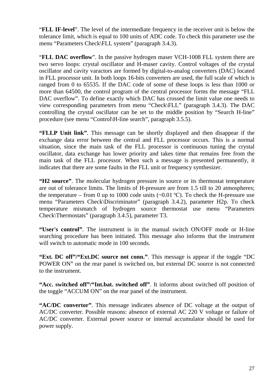"**FLL IF-level**". The level of the intermediate frequency in the receiver unit is below the tolerance limit, which is equal to 100 units of ADC code. To check this parameter use the menu "Parameters Check\FLL system" (paragraph 3.4.3).

"**FLL DAC overflow**". In the passive hydrogen maser VCH-1008 FLL system there are two servo loops: crystal oscillator and H-maser cavity. Control voltages of the crystal oscillator and cavity varactors are formed by digital-to-analog converters (DAC) located in FLL processor unit. In both loops 16-bits converters are used, the full scale of which is ranged from 0 to 65535. If the DAC code of some of these loops is less than 1000 or more than 64500, the control program of the central processor forms the message "FLL DAC overflow". To define exactly which DAC has crossed the limit value one needs to view corresponding parameters from menu "Check\FLL" (paragraph 3.4.3). The DAC controlling the crystal oscillator can be set to the middle position by "Search H-line" procedure (see menu "Control\H-line search", paragraph 3.5.5).

**"FLLP Unit link"**. This message can be shortly displayed and then disappear if the exchange data error between the central and FLL processor occurs. This is a normal situation, since the main task of the FLL processor is continuous tuning the crystal oscillator, data exchange has lower priority and takes time that remains free from the main task of the FLL processor. When such a message is presented permanently, it indicates that there are some faults in the FLL unit or frequency synthesizer.

**"H2 source"**. The molecular hydrogen pressure in source or its thermostat temperature are out of tolerance limits. The limits of H-pressure are from 1.5 till to 20 atmospheres; the temperature – from 0 up to 1000 code units  $(\sim 0.01 \degree C)$ . To check the H-pressure use menu "Parameters Check\Discriminator" (paragraph 3.4.2), parameter H2p. To check temperature mismatch of hydrogen source thermostat use menu "Parameters Check\Thermostats" (paragraph 3.4.5), parameter T3.

**"User's control"**. The instrument is in the manual switch ON/OFF mode or H-line searching procedure has been initiated. This message also informs that the instrument will switch to automatic mode in 100 seconds.

**"Ext. DC off"/"Ext.DC source not conn."**. This message is appear if the toggle "DC POWER ON" on the rear panel is switched on, but external DC source is not connected to the instrument.

**"Acc. switched off"/"Int.bat. switched off"**. It informs about switched off position of the toggle "ACCUM ON" on the rear panel of the instrument.

**"AC/DC convertor"**. This message indicates absence of DC voltage at the output of AC/DC converter. Possible reasons: absence of external AC 220 V voltage or failure of AC/DC converter. External power source or internal accumulator should be used for power supply.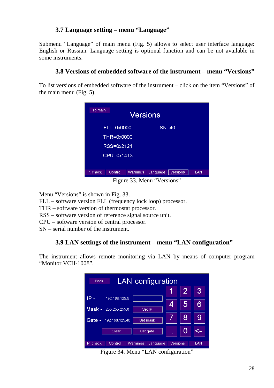# **3.7 Language setting – menu "Language"**

Submenu "Language" of main menu (Fig. 5) allows to select user interface language: English or Russian. Language setting is optional function and can be not available in some instruments.

#### **3.8 Versions of embedded software of the instrument – menu "Versions"**

To list versions of embedded software of the instrument – click on the item "Versions" of the main menu (Fig. 5).

| To main<br><b>Versions</b>                                            |     |  |  |  |  |  |  |  |  |
|-----------------------------------------------------------------------|-----|--|--|--|--|--|--|--|--|
| FLL=0x0000<br>$SN = 40$                                               |     |  |  |  |  |  |  |  |  |
| THR=0x0000                                                            |     |  |  |  |  |  |  |  |  |
| RSS=0x2121                                                            |     |  |  |  |  |  |  |  |  |
| CPU=0x1413                                                            |     |  |  |  |  |  |  |  |  |
|                                                                       |     |  |  |  |  |  |  |  |  |
| <b>Versions</b><br>P. check<br>Control<br><b>Warnings</b><br>Language | LAN |  |  |  |  |  |  |  |  |

Figure 33. Menu "Versions"

Menu "Versions" is shown in Fig. 33.

FLL – software version FLL (frequency lock loop) processor.

THR – software version of thermostat processor.

RSS – software version of reference signal source unit.

CPU – software version of central processor.

SN – serial number of the instrument.

# **3.9 LAN settings of the instrument – menu "LAN configuration"**

The instrument allows remote monitoring via LAN by means of computer program "Monitor VCH-1008".

| <b>LAN</b> configuration<br><b>Back</b>     |   |                 |            |  |  |  |  |
|---------------------------------------------|---|-----------------|------------|--|--|--|--|
|                                             |   |                 | 3,         |  |  |  |  |
| IP -<br>192.168.125.5                       |   |                 |            |  |  |  |  |
| $Mask - 255.255.255.0$<br>Set IP            | 4 | 5               |            |  |  |  |  |
| Gate - 192.168.125.40<br>Set mask           |   | 8               |            |  |  |  |  |
| Set gate<br>Clear                           |   |                 |            |  |  |  |  |
| P. check<br>Control<br>Warnings<br>Language |   | <b>Versions</b> | <b>LAN</b> |  |  |  |  |

Figure 34. Menu "LAN configuration"